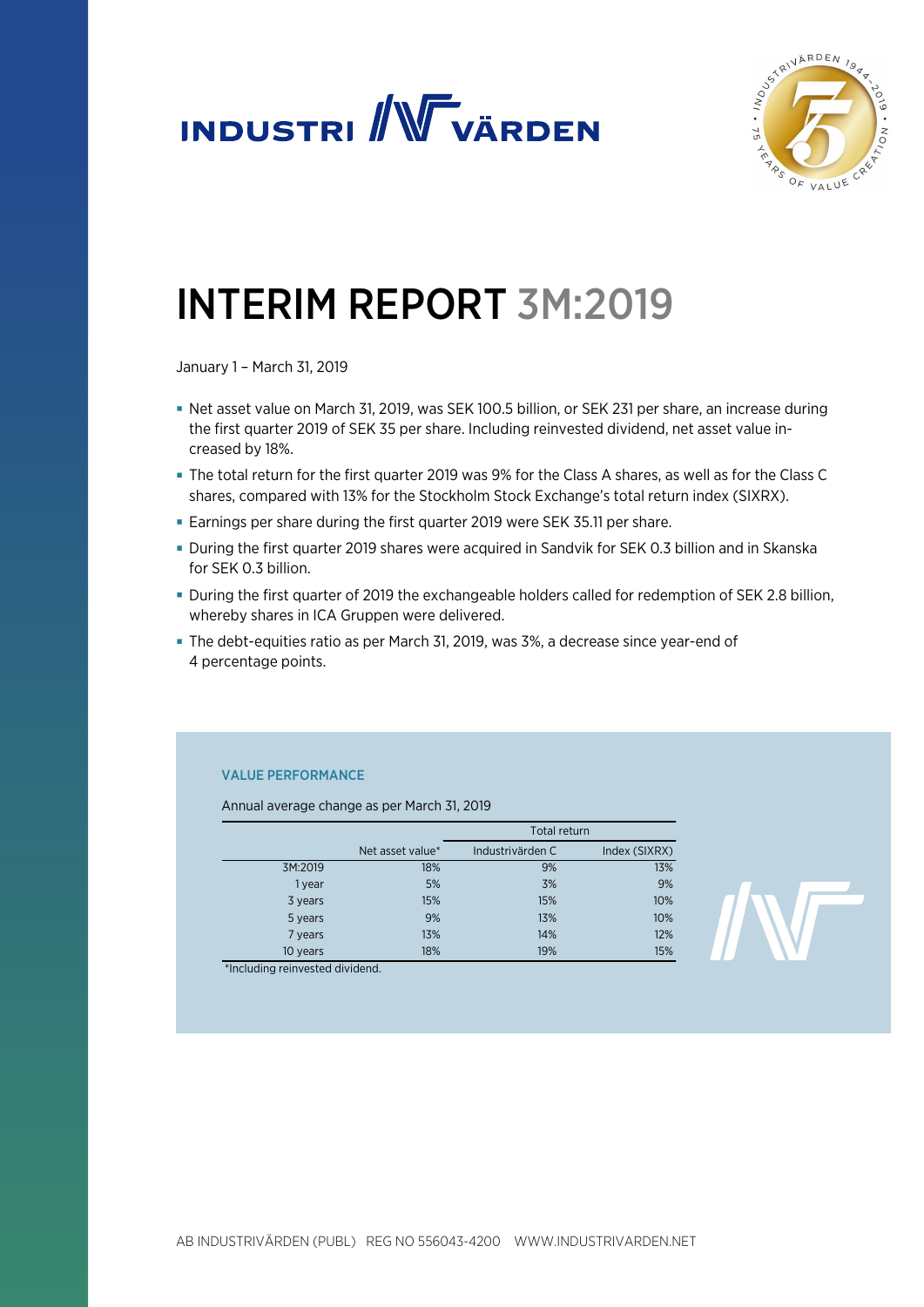



# INTERIM REPORT 3M:2019

January 1 – March 31, 2019

- Net asset value on March 31, 2019, was SEK 100.5 billion, or SEK 231 per share, an increase during the first quarter 2019 of SEK 35 per share. Including reinvested dividend, net asset value increased by 18%.
- The total return for the first quarter 2019 was 9% for the Class A shares, as well as for the Class C shares, compared with 13% for the Stockholm Stock Exchange's total return index (SIXRX).
- Earnings per share during the first quarter 2019 were SEK 35.11 per share.
- During the first quarter 2019 shares were acquired in Sandvik for SEK 0.3 billion and in Skanska for SEK 0.3 billion.
- During the first quarter of 2019 the exchangeable holders called for redemption of SEK 2.8 billion, whereby shares in ICA Gruppen were delivered.
- The debt-equities ratio as per March 31, 2019, was 3%, a decrease since year-end of 4 percentage points.

### VALUE PERFORMANCE

Annual average change as per March 31, 2019

|          |                  | Total return     |               |  |
|----------|------------------|------------------|---------------|--|
|          | Net asset value* | Industrivärden C | Index (SIXRX) |  |
| 3M:2019  | 18%              | 9%               | 13%           |  |
| 1 year   | 5%               | 3%               | 9%            |  |
| 3 years  | 15%              | 15%              | 10%           |  |
| 5 years  | 9%               | 13%              | 10%           |  |
| 7 years  | 13%              | 14%              | 12%           |  |
| 10 years | 18%              | 19%              | 15%           |  |



\*Including reinvested dividend.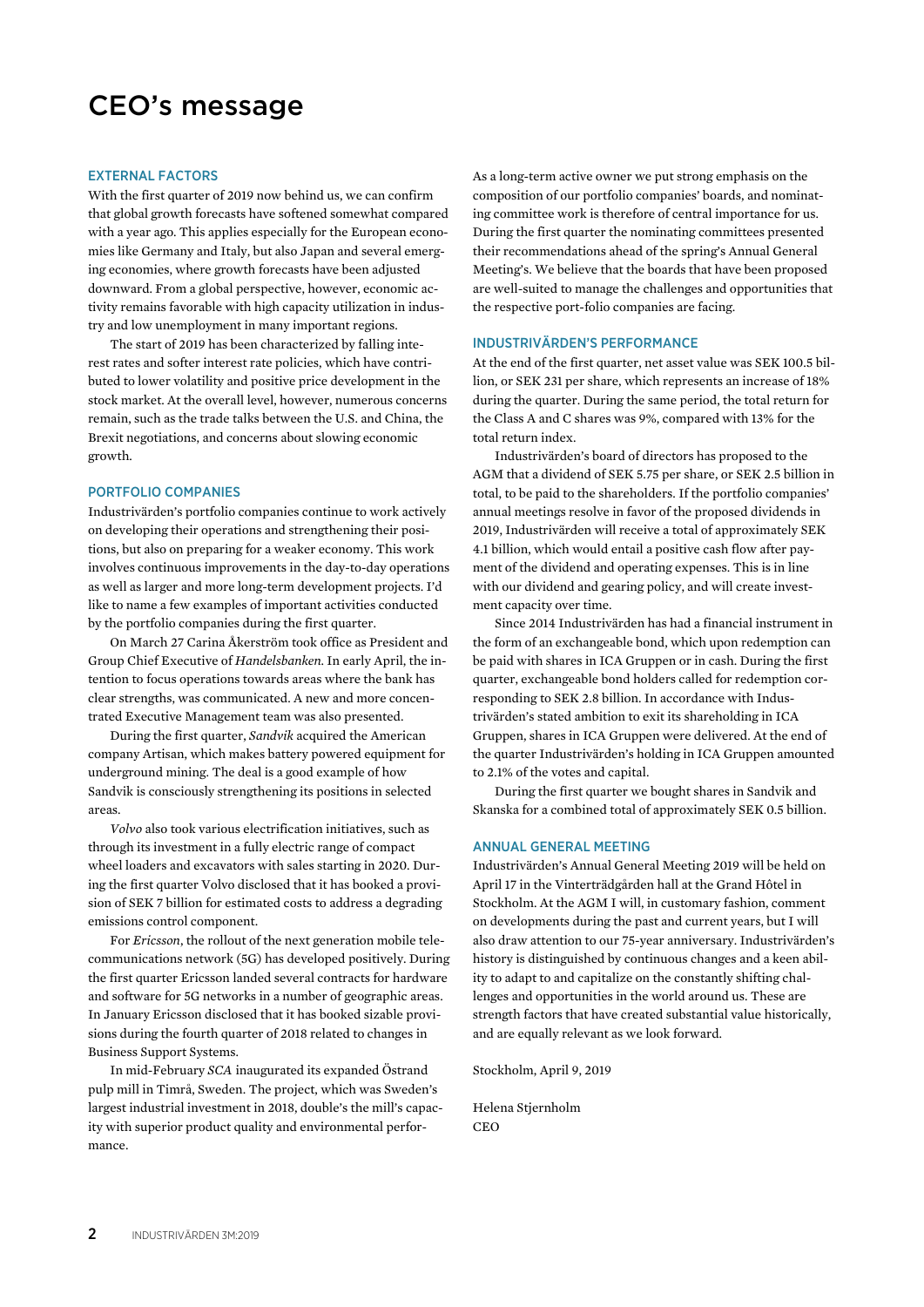### CEO's message

#### EXTERNAL FACTORS

With the first quarter of 2019 now behind us, we can confirm that global growth forecasts have softened somewhat compared with a year ago. This applies especially for the European economies like Germany and Italy, but also Japan and several emerging economies, where growth forecasts have been adjusted downward. From a global perspective, however, economic activity remains favorable with high capacity utilization in industry and low unemployment in many important regions.

The start of 2019 has been characterized by falling interest rates and softer interest rate policies, which have contributed to lower volatility and positive price development in the stock market. At the overall level, however, numerous concerns remain, such as the trade talks between the U.S. and China, the Brexit negotiations, and concerns about slowing economic growth.

#### PORTFOLIO COMPANIES

Industrivärden's portfolio companies continue to work actively on developing their operations and strengthening their positions, but also on preparing for a weaker economy. This work involves continuous improvements in the day-to-day operations as well as larger and more long-term development projects. I'd like to name a few examples of important activities conducted by the portfolio companies during the first quarter.

On March 27 Carina Åkerström took office as President and Group Chief Executive of *Handelsbanken*. In early April, the intention to focus operations towards areas where the bank has clear strengths, was communicated. A new and more concentrated Executive Management team was also presented.

During the first quarter, *Sandvik* acquired the American company Artisan, which makes battery powered equipment for underground mining. The deal is a good example of how Sandvik is consciously strengthening its positions in selected areas.

*Volvo* also took various electrification initiatives, such as through its investment in a fully electric range of compact wheel loaders and excavators with sales starting in 2020. During the first quarter Volvo disclosed that it has booked a provision of SEK 7 billion for estimated costs to address a degrading emissions control component.

For *Ericsson*, the rollout of the next generation mobile telecommunications network (5G) has developed positively. During the first quarter Ericsson landed several contracts for hardware and software for 5G networks in a number of geographic areas. In January Ericsson disclosed that it has booked sizable provisions during the fourth quarter of 2018 related to changes in Business Support Systems.

In mid-February *SCA* inaugurated its expanded Östrand pulp mill in Timrå, Sweden. The project, which was Sweden's largest industrial investment in 2018, double's the mill's capacity with superior product quality and environmental performance.

As a long-term active owner we put strong emphasis on the composition of our portfolio companies' boards, and nominating committee work is therefore of central importance for us. During the first quarter the nominating committees presented their recommendations ahead of the spring's Annual General Meeting's. We believe that the boards that have been proposed are well-suited to manage the challenges and opportunities that the respective port-folio companies are facing.

#### INDUSTRIVÄRDEN'S PERFORMANCE

At the end of the first quarter, net asset value was SEK 100.5 billion, or SEK 231 per share, which represents an increase of 18% during the quarter. During the same period, the total return for the Class A and C shares was 9%, compared with 13% for the total return index.

Industrivärden's board of directors has proposed to the AGM that a dividend of SEK 5.75 per share, or SEK 2.5 billion in total, to be paid to the shareholders. If the portfolio companies' annual meetings resolve in favor of the proposed dividends in 2019, Industrivärden will receive a total of approximately SEK 4.1 billion, which would entail a positive cash flow after payment of the dividend and operating expenses. This is in line with our dividend and gearing policy, and will create investment capacity over time.

Since 2014 Industrivärden has had a financial instrument in the form of an exchangeable bond, which upon redemption can be paid with shares in ICA Gruppen or in cash. During the first quarter, exchangeable bond holders called for redemption corresponding to SEK 2.8 billion. In accordance with Industrivärden's stated ambition to exit its shareholding in ICA Gruppen, shares in ICA Gruppen were delivered. At the end of the quarter Industrivärden's holding in ICA Gruppen amounted to 2.1% of the votes and capital.

During the first quarter we bought shares in Sandvik and Skanska for a combined total of approximately SEK 0.5 billion.

### ANNUAL GENERAL MEETING

Industrivärden's Annual General Meeting 2019 will be held on April 17 in the Vinterträdgården hall at the Grand Hôtel in Stockholm. At the AGM I will, in customary fashion, comment on developments during the past and current years, but I will also draw attention to our 75-year anniversary. Industrivärden's history is distinguished by continuous changes and a keen ability to adapt to and capitalize on the constantly shifting challenges and opportunities in the world around us. These are strength factors that have created substantial value historically, and are equally relevant as we look forward.

Stockholm, April 9, 2019

Helena Stjernholm **CEO**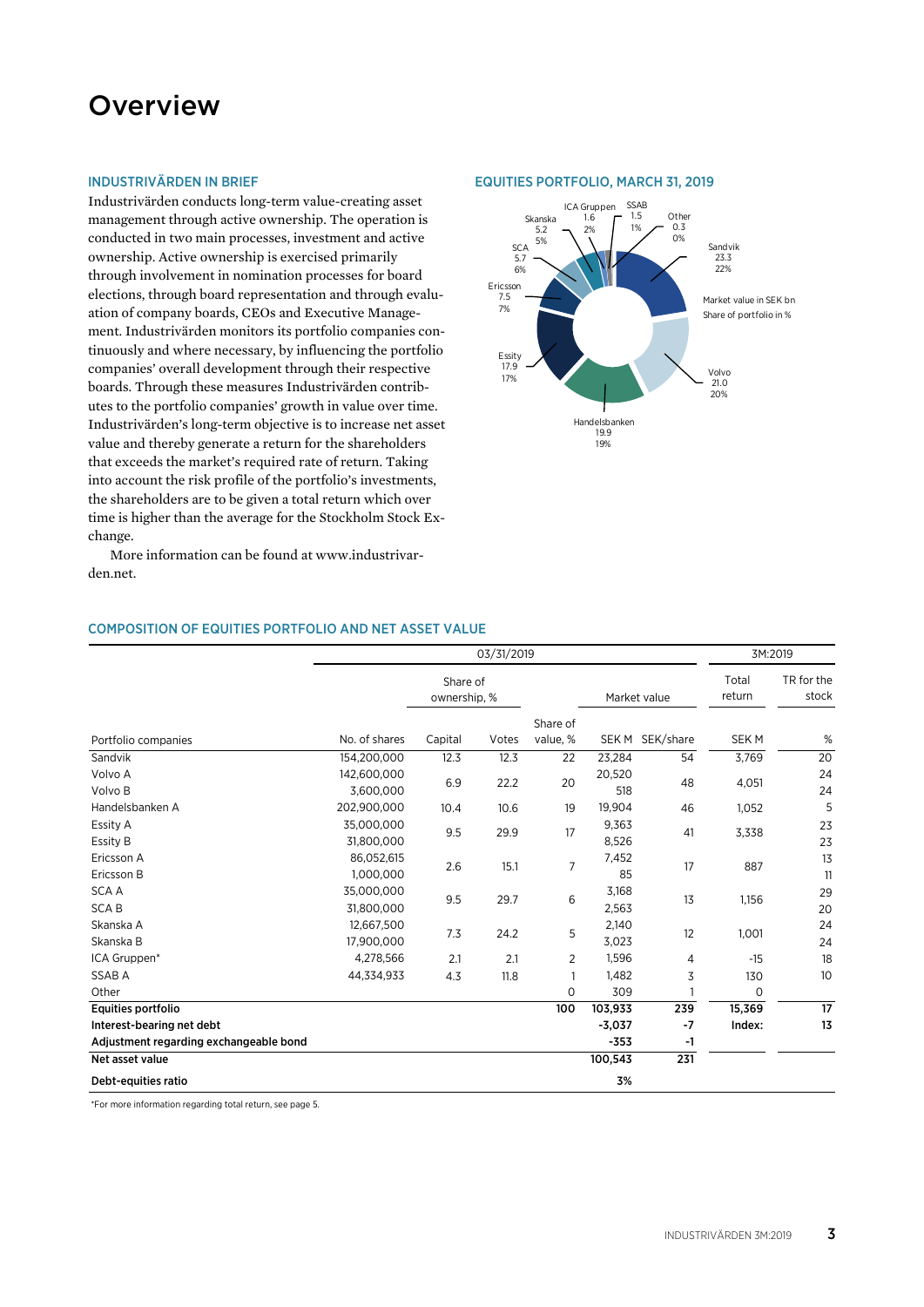### **Overview**

### INDUSTRIVÄRDEN IN BRIEF

Industrivärden conducts long-term value-creating asset management through active ownership. The operation is conducted in two main processes, investment and active ownership. Active ownership is exercised primarily through involvement in nomination processes for board elections, through board representation and through evaluation of company boards, CEOs and Executive Management. Industrivärden monitors its portfolio companies continuously and where necessary, by influencing the portfolio companies' overall development through their respective boards. Through these measures Industrivärden contributes to the portfolio companies' growth in value over time. Industrivärden's long-term objective is to increase net asset value and thereby generate a return for the shareholders that exceeds the market's required rate of return. Taking into account the risk profile of the portfolio's investments, the shareholders are to be given a total return which over time is higher than the average for the Stockholm Stock Exchange.

More information can be found at www.industrivarden.net.

### COMPOSITION OF EQUITIES PORTFOLIO AND NET ASSET VALUE

|                                        |               |                          | 03/31/2019 |              |          |                 |                 | 3M:2019             |
|----------------------------------------|---------------|--------------------------|------------|--------------|----------|-----------------|-----------------|---------------------|
|                                        |               | Share of<br>ownership, % |            |              |          | Market value    | Total<br>return | TR for the<br>stock |
|                                        |               |                          |            | Share of     |          |                 |                 |                     |
| Portfolio companies                    | No. of shares | Capital                  | Votes      | value, %     |          | SEK M SEK/share | <b>SEKM</b>     | %                   |
| Sandvik                                | 154.200.000   | 12.3                     | 12.3       | 22           | 23,284   | 54              | 3,769           | 20                  |
| Volvo A                                | 142,600,000   | 6.9<br>22.2              | 20         | 20,520       | 48       | 4,051           | 24              |                     |
| Volvo B                                | 3.600.000     |                          |            |              | 518      |                 |                 | 24                  |
| Handelsbanken A                        | 202,900,000   | 10.4                     | 10.6       | 19           | 19,904   | 46              | 1,052           | 5                   |
| Essity A                               | 35,000,000    | 29.9<br>9.5              |            | 17           | 9,363    | 41              | 3,338           | 23                  |
| Essity B                               | 31.800.000    |                          |            | 8,526        |          |                 | 23              |                     |
| Ericsson A                             | 86,052,615    | 2.6                      |            | 7<br>15.1    | 7,452    | 17              | 887             | 13                  |
| Ericsson B                             | 1,000,000     |                          |            |              | 85       |                 |                 | 11                  |
| <b>SCAA</b>                            | 35,000,000    | 9.5                      | 6<br>29.7  | 3,168        | 13       | 1,156           | 29              |                     |
| <b>SCAB</b>                            | 31,800,000    |                          |            |              | 2,563    |                 |                 | 20                  |
| Skanska A                              | 12,667,500    | 7.3                      | 24.2       | 5            | 2,140    |                 | 1,001           | 24                  |
| Skanska B                              | 17,900,000    |                          |            |              | 3,023    | 12              |                 | 24                  |
| ICA Gruppen*                           | 4,278,566     | 2.1                      | 2.1        | 2            | 1,596    | 4               | $-15$           | 18                  |
| SSAB A                                 | 44,334,933    | 4.3                      | 11.8       | $\mathbf{1}$ | 1,482    | 3               | 130             | 10                  |
| Other                                  |               |                          |            | $\mathbf 0$  | 309      |                 | 0               |                     |
| Equities portfolio                     |               |                          |            | 100          | 103,933  | 239             | 15,369          | 17                  |
| Interest-bearing net debt              |               |                          |            |              | $-3,037$ | $-7$            | Index:          | 13                  |
| Adjustment regarding exchangeable bond |               |                          |            |              | $-353$   | -1              |                 |                     |
| Net asset value                        |               |                          |            |              | 100,543  | 231             |                 |                     |
| Debt-equities ratio                    |               |                          |            |              | 3%       |                 |                 |                     |

\*For more information regarding total return, see page 5.

### EQUITIES PORTFOLIO, MARCH 31, 2019

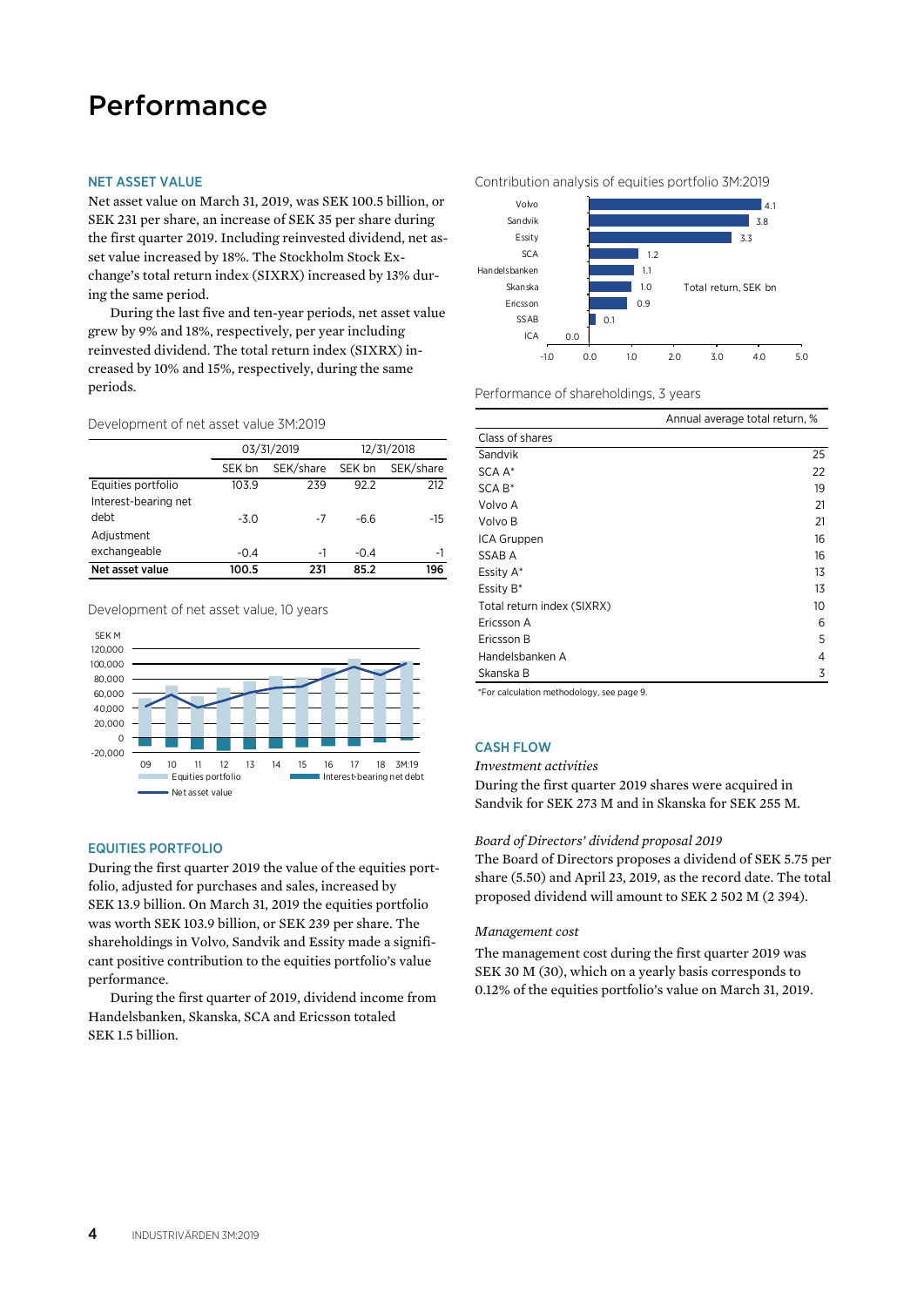### Performance

### NET ASSET VALUE

Net asset value on March 31, 2019, was SEK 100.5 billion, or SEK 231 per share, an increase of SEK 35 per share during the first quarter 2019. Including reinvested dividend, net asset value increased by 18%. The Stockholm Stock Exchange's total return index (SIXRX) increased by 13% during the same period.

During the last five and ten-year periods, net asset value grew by 9% and 18%, respectively, per year including reinvested dividend. The total return index (SIXRX) increased by 10% and 15%, respectively, during the same periods.

Development of net asset value 3M:2019

|                      |        | 03/31/2019 | 12/31/2018 |           |  |
|----------------------|--------|------------|------------|-----------|--|
|                      | SEK bn | SEK/share  | SEK bn     | SEK/share |  |
| Equities portfolio   | 103.9  | 239        | 92.2       | 212       |  |
| Interest-bearing net |        |            |            |           |  |
| debt                 | $-3.0$ | -7         | -6.6       | -15       |  |
| Adjustment           |        |            |            |           |  |
| exchangeable         | $-0.4$ | -1         | $-0.4$     | -1        |  |
| Net asset value      | 100.5  | 231        | 85.2       | 196       |  |

Development of net asset value, 10 years



### EQUITIES PORTFOLIO

During the first quarter 2019 the value of the equities portfolio, adjusted for purchases and sales, increased by SEK 13.9 billion. On March 31, 2019 the equities portfolio was worth SEK 103.9 billion, or SEK 239 per share. The shareholdings in Volvo, Sandvik and Essity made a significant positive contribution to the equities portfolio's value performance.

During the first quarter of 2019, dividend income from Handelsbanken, Skanska, SCA and Ericsson totaled SEK 1.5 billion.



Performance of shareholdings, 3 years

|                            | Annual average total return, % |
|----------------------------|--------------------------------|
| Class of shares            |                                |
| Sandvik                    | 25                             |
| SCA A*                     | 22                             |
| SCA B*                     | 19                             |
| Volvo A                    | 21                             |
| Volvo B                    | 21                             |
| ICA Gruppen                | 16                             |
| SSAB A                     | 16                             |
| Essity A*                  | 13                             |
| Essity B*                  | 13                             |
| Total return index (SIXRX) | 10                             |
| Ericsson A                 | 6                              |
| Ericsson B                 | 5                              |
| Handelsbanken A            | 4                              |
| Skanska B                  | 3                              |

\*For calculation methodology, see page 9.

### **CASH FLOW**

*Investment activities* 

During the first quarter 2019 shares were acquired in Sandvik for SEK 273 M and in Skanska for SEK 255 M*.* 

### *Board of Directors' dividend proposal 2019*

The Board of Directors proposes a dividend of SEK 5.75 per share (5.50) and April 23, 2019, as the record date. The total proposed dividend will amount to SEK 2 502 M (2 394).

### *Management cost*

The management cost during the first quarter 2019 was SEK 30 M (30), which on a yearly basis corresponds to 0.12% of the equities portfolio's value on March 31, 2019.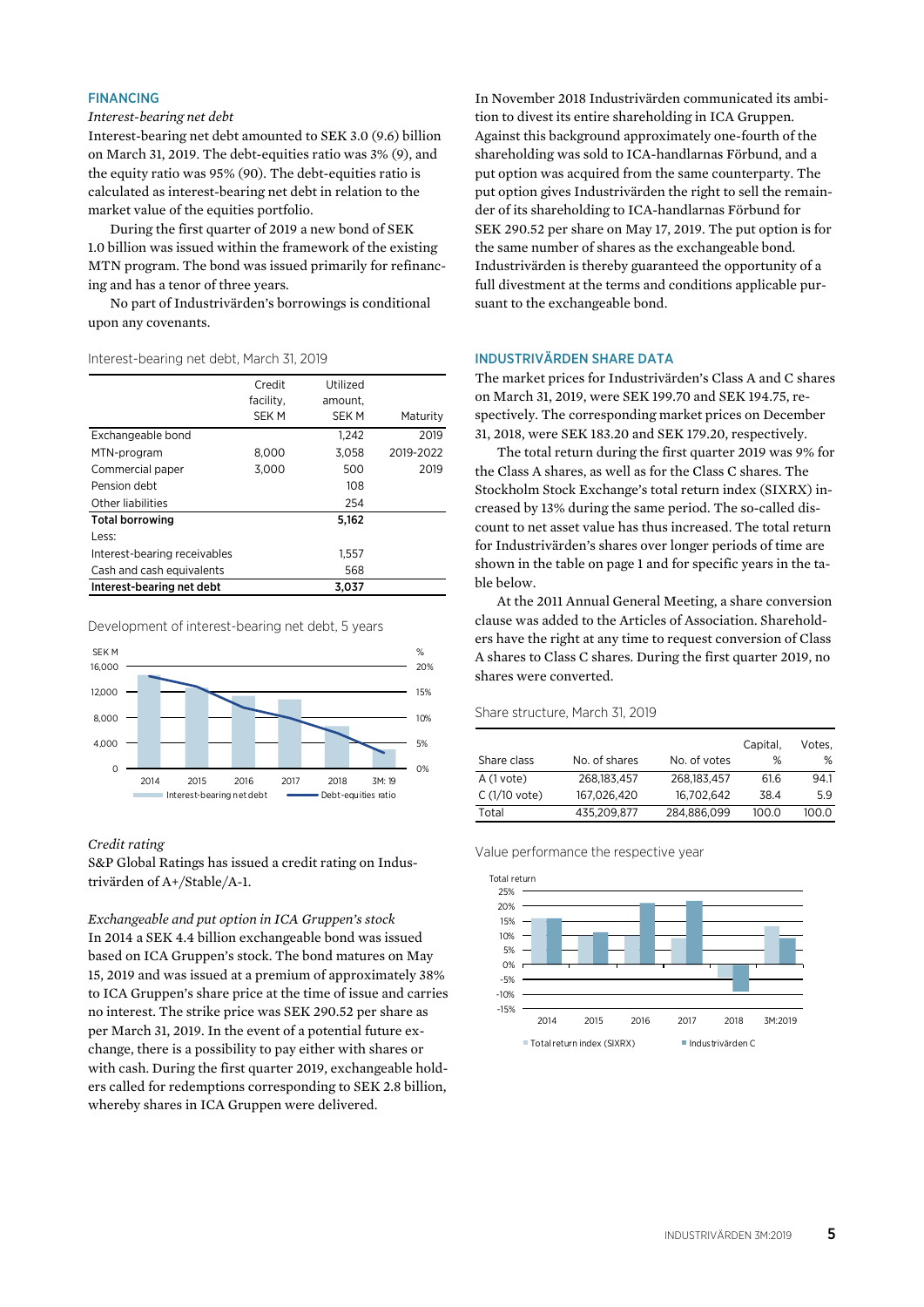### FINANCING

### *Interest-bearing net debt*

Interest-bearing net debt amounted to SEK 3.0 (9.6) billion on March 31, 2019. The debt-equities ratio was 3% (9), and the equity ratio was 95% (90). The debt-equities ratio is calculated as interest-bearing net debt in relation to the market value of the equities portfolio.

During the first quarter of 2019 a new bond of SEK 1.0 billion was issued within the framework of the existing MTN program. The bond was issued primarily for refinancing and has a tenor of three years.

No part of Industrivärden's borrowings is conditional upon any covenants.

#### Interest-bearing net debt, March 31, 2019

|                              | Credit<br>facility, | Utilized<br>amount. |           |
|------------------------------|---------------------|---------------------|-----------|
|                              | <b>SEK M</b>        | <b>SEKM</b>         | Maturity  |
| Exchangeable bond            |                     | 1.242               | 2019      |
| MTN-program                  | 8,000               | 3,058               | 2019-2022 |
| Commercial paper             | 3.000               | 500                 | 2019      |
| Pension debt                 |                     | 108                 |           |
| Other liabilities            |                     | 254                 |           |
| <b>Total borrowing</b>       |                     | 5.162               |           |
| Less:                        |                     |                     |           |
| Interest-bearing receivables |                     | 1,557               |           |
| Cash and cash equivalents    |                     | 568                 |           |
| Interest-bearing net debt    |                     | 3.037               |           |

Development of interest-bearing net debt, 5 years



### *Credit rating*

S&P Global Ratings has issued a credit rating on Industrivärden of A+/Stable/A-1.

*Exchangeable and put option in ICA Gruppen's stock*  In 2014 a SEK 4.4 billion exchangeable bond was issued based on ICA Gruppen's stock. The bond matures on May 15, 2019 and was issued at a premium of approximately 38% to ICA Gruppen's share price at the time of issue and carries no interest. The strike price was SEK 290.52 per share as per March 31, 2019. In the event of a potential future exchange, there is a possibility to pay either with shares or with cash. During the first quarter 2019, exchangeable holders called for redemptions corresponding to SEK 2.8 billion, whereby shares in ICA Gruppen were delivered.

In November 2018 Industrivärden communicated its ambition to divest its entire shareholding in ICA Gruppen. Against this background approximately one-fourth of the shareholding was sold to ICA-handlarnas Förbund, and a put option was acquired from the same counterparty. The put option gives Industrivärden the right to sell the remainder of its shareholding to ICA-handlarnas Förbund for SEK 290.52 per share on May 17, 2019. The put option is for the same number of shares as the exchangeable bond. Industrivärden is thereby guaranteed the opportunity of a full divestment at the terms and conditions applicable pursuant to the exchangeable bond.

### INDUSTRIVÄRDEN SHARE DATA

The market prices for Industrivärden's Class A and C shares on March 31, 2019, were SEK 199.70 and SEK 194.75, respectively. The corresponding market prices on December 31, 2018, were SEK 183.20 and SEK 179.20, respectively.

The total return during the first quarter 2019 was 9% for the Class A shares, as well as for the Class C shares. The Stockholm Stock Exchange's total return index (SIXRX) increased by 13% during the same period. The so-called discount to net asset value has thus increased. The total return for Industrivärden's shares over longer periods of time are shown in the table on page 1 and for specific years in the table below.

At the 2011 Annual General Meeting, a share conversion clause was added to the Articles of Association. Shareholders have the right at any time to request conversion of Class A shares to Class C shares. During the first quarter 2019, no shares were converted.

### Share structure, March 31, 2019

|                |               |              | Capital, | Votes. |
|----------------|---------------|--------------|----------|--------|
| Share class    | No. of shares | No. of votes | %        | %      |
| $A(1$ vote)    | 268.183.457   | 268.183.457  | 61.6     | 94.1   |
| $C(1/10$ vote) | 167.026.420   | 16.702.642   | 38.4     | 59     |
| Total          | 435.209.877   | 284.886.099  | 100.0    | 100.0  |

Value performance the respective year

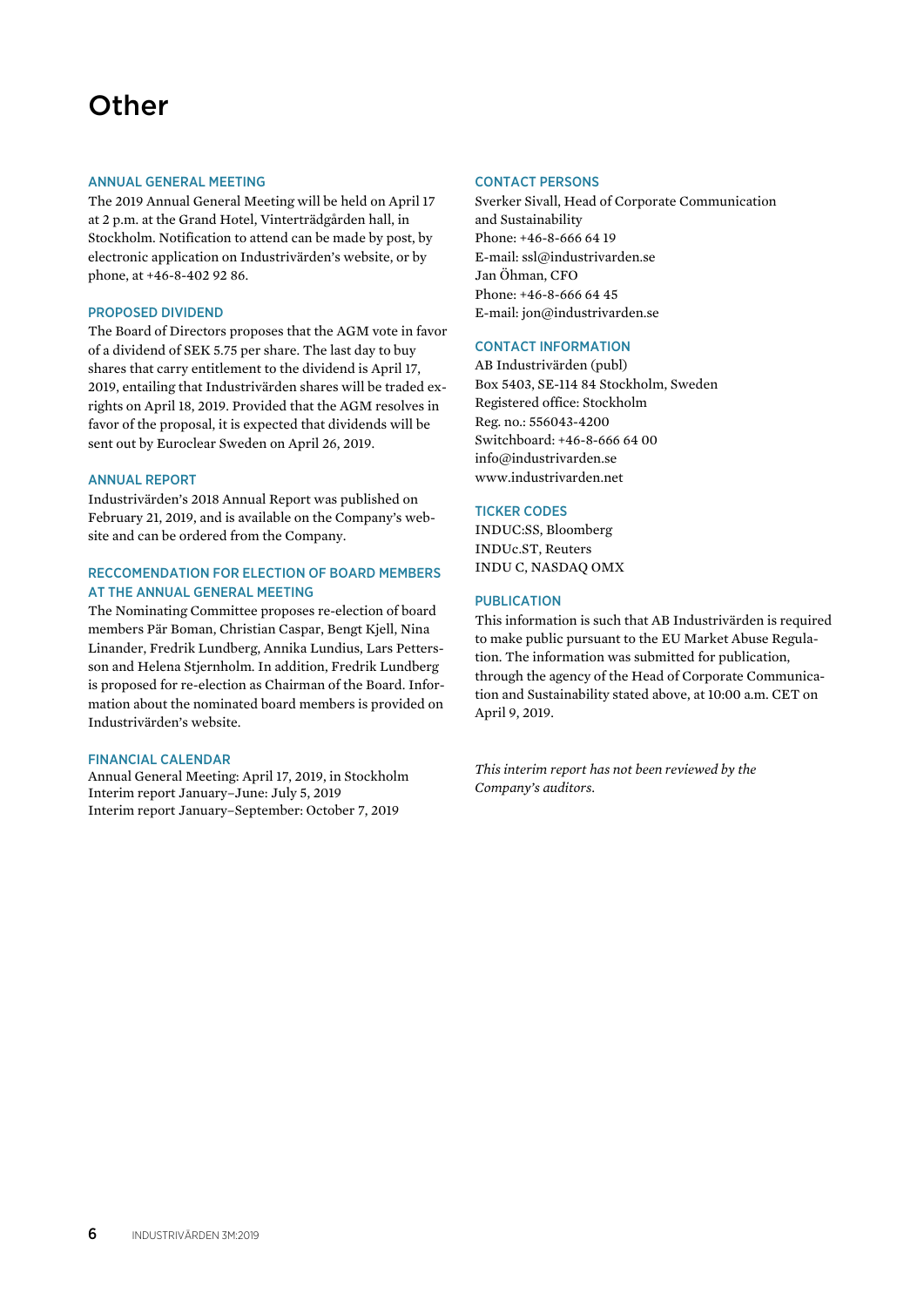# **Other**

### ANNUAL GENERAL MEETING

The 2019 Annual General Meeting will be held on April 17 at 2 p.m. at the Grand Hotel, Vinterträdgården hall, in Stockholm. Notification to attend can be made by post, by electronic application on Industrivärden's website, or by phone, at +46-8-402 92 86.

### PROPOSED DIVIDEND

The Board of Directors proposes that the AGM vote in favor of a dividend of SEK 5.75 per share. The last day to buy shares that carry entitlement to the dividend is April 17, 2019, entailing that Industrivärden shares will be traded exrights on April 18, 2019. Provided that the AGM resolves in favor of the proposal, it is expected that dividends will be sent out by Euroclear Sweden on April 26, 2019.

### ANNUAL REPORT

Industrivärden's 2018 Annual Report was published on February 21, 2019, and is available on the Company's website and can be ordered from the Company.

### RECCOMENDATION FOR ELECTION OF BOARD MEMBERS AT THE ANNUAL GENERAL MEETING

The Nominating Committee proposes re-election of board members Pär Boman, Christian Caspar, Bengt Kjell, Nina Linander, Fredrik Lundberg, Annika Lundius, Lars Pettersson and Helena Stjernholm. In addition, Fredrik Lundberg is proposed for re-election as Chairman of the Board. Information about the nominated board members is provided on Industrivärden's website.

### FINANCIAL CALENDAR

Annual General Meeting: April 17, 2019, in Stockholm Interim report January–June: July 5, 2019 Interim report January–September: October 7, 2019

### CONTACT PERSONS

Sverker Sivall, Head of Corporate Communication and Sustainability Phone: +46-8-666 64 19 E-mail: ssl@industrivarden.se Jan Öhman, CFO Phone: +46-8-666 64 45 E-mail: jon@industrivarden.se

### CONTACT INFORMATION

AB Industrivärden (publ) Box 5403, SE-114 84 Stockholm, Sweden Registered office: Stockholm Reg. no.: 556043-4200 Switchboard: +46-8-666 64 00 info@industrivarden.se www.industrivarden.net

### TICKER CODES

INDUC:SS, Bloomberg INDUc.ST, Reuters INDU C, NASDAQ OMX

### PUBLICATION

This information is such that AB Industrivärden is required to make public pursuant to the EU Market Abuse Regulation. The information was submitted for publication, through the agency of the Head of Corporate Communication and Sustainability stated above, at 10:00 a.m. CET on April 9, 2019.

*This interim report has not been reviewed by the Company's auditors.*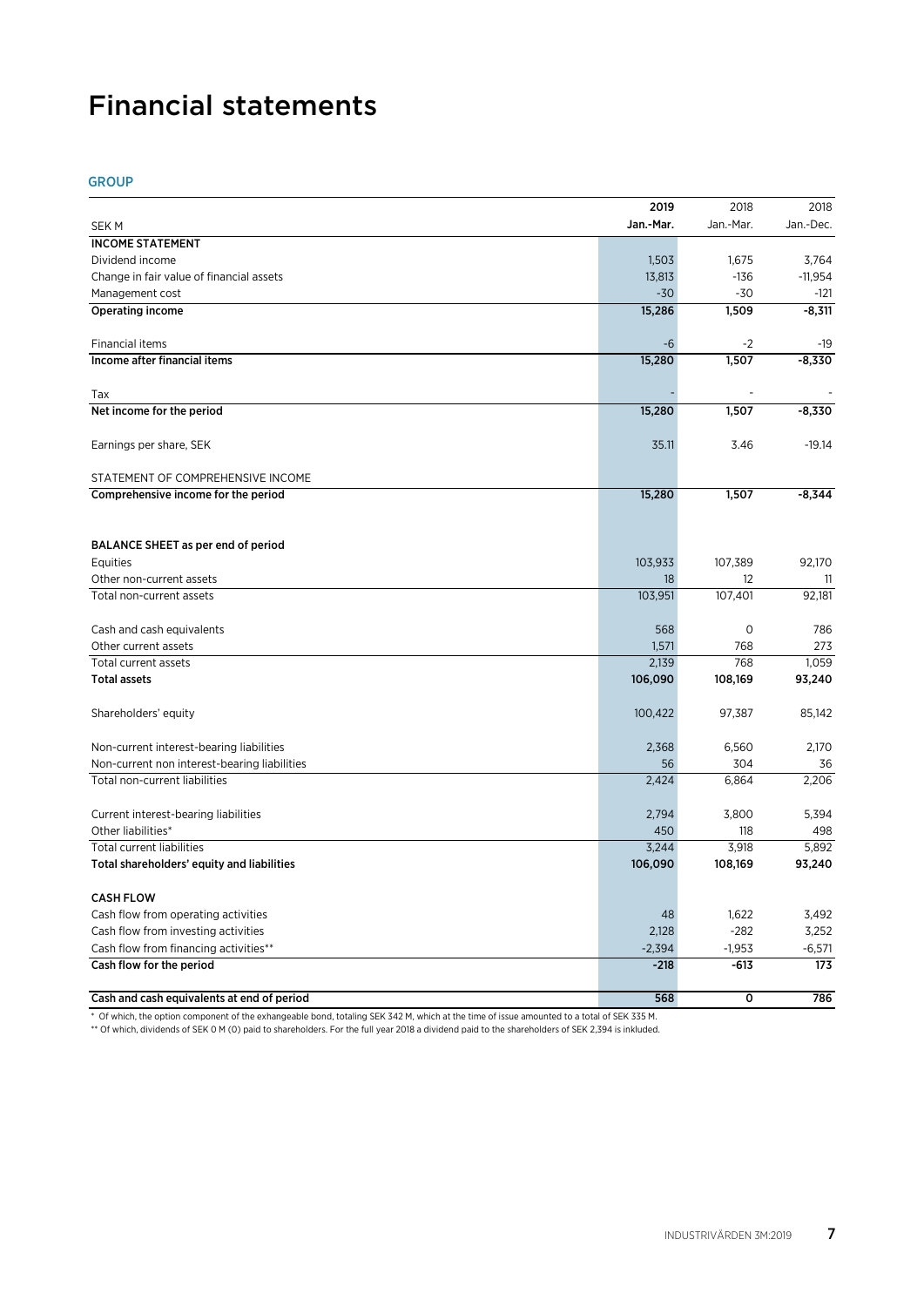# Financial statements

GROUP

|                                              | 2019      | 2018         | 2018      |
|----------------------------------------------|-----------|--------------|-----------|
| SEK M                                        | Jan.-Mar. | Jan.-Mar.    | Jan.-Dec. |
| <b>INCOME STATEMENT</b>                      |           |              |           |
| Dividend income                              | 1,503     | 1,675        | 3,764     |
| Change in fair value of financial assets     | 13,813    | $-136$       | $-11,954$ |
| Management cost                              | $-30$     | $-30$        | -121      |
| Operating income                             | 15,286    | 1,509        | $-8,311$  |
| Financial items                              | $-6$      | $-2$         | -19       |
| Income after financial items                 | 15,280    | 1,507        | $-8.330$  |
| Tax                                          |           |              |           |
| Net income for the period                    | 15,280    | 1,507        | $-8,330$  |
|                                              |           |              |           |
| Earnings per share, SEK                      | 35.11     | 3.46         | $-19.14$  |
| STATEMENT OF COMPREHENSIVE INCOME            |           |              |           |
| Comprehensive income for the period          | 15,280    | 1,507        | $-8,344$  |
|                                              |           |              |           |
| BALANCE SHEET as per end of period           |           |              |           |
| Equities                                     | 103,933   | 107,389      | 92.170    |
| Other non-current assets                     | 18        | 12           | 11        |
| Total non-current assets                     | 103,951   | 107,401      | 92,181    |
| Cash and cash equivalents                    | 568       | $\circ$      | 786       |
| Other current assets                         | 1,571     | 768          | 273       |
| Total current assets                         | 2,139     | 768          | 1,059     |
| <b>Total assets</b>                          | 106,090   | 108,169      | 93,240    |
| Shareholders' equity                         | 100,422   | 97,387       | 85,142    |
| Non-current interest-bearing liabilities     | 2,368     | 6,560        | 2,170     |
| Non-current non interest-bearing liabilities | 56        | 304          | 36        |
| Total non-current liabilities                | 2,424     | 6,864        | 2,206     |
| Current interest-bearing liabilities         | 2,794     | 3,800        | 5,394     |
| Other liabilities*                           | 450       | 118          | 498       |
| <b>Total current liabilities</b>             | 3,244     | 3,918        | 5,892     |
| Total shareholders' equity and liabilities   | 106,090   | 108,169      | 93,240    |
| <b>CASH FLOW</b>                             |           |              |           |
| Cash flow from operating activities          | 48        | 1,622        | 3,492     |
| Cash flow from investing activities          | 2,128     | $-282$       | 3,252     |
| Cash flow from financing activities**        | $-2,394$  | $-1,953$     | $-6,571$  |
| Cash flow for the period                     | $-218$    | $-613$       | 173       |
| Cash and cash equivalents at end of period   | 568       | $\mathbf{o}$ | 786       |
|                                              |           |              |           |

\* Of which, the option component of the exhangeable bond, totaling SEK 342 M, which at the time of issue amounted to a total of SEK 335 M.

\*\* Of which, dividends of SEK 0 M (0) paid to shareholders. For the full year 2018 a dividend paid to the shareholders of SEK 2,394 is inkluded.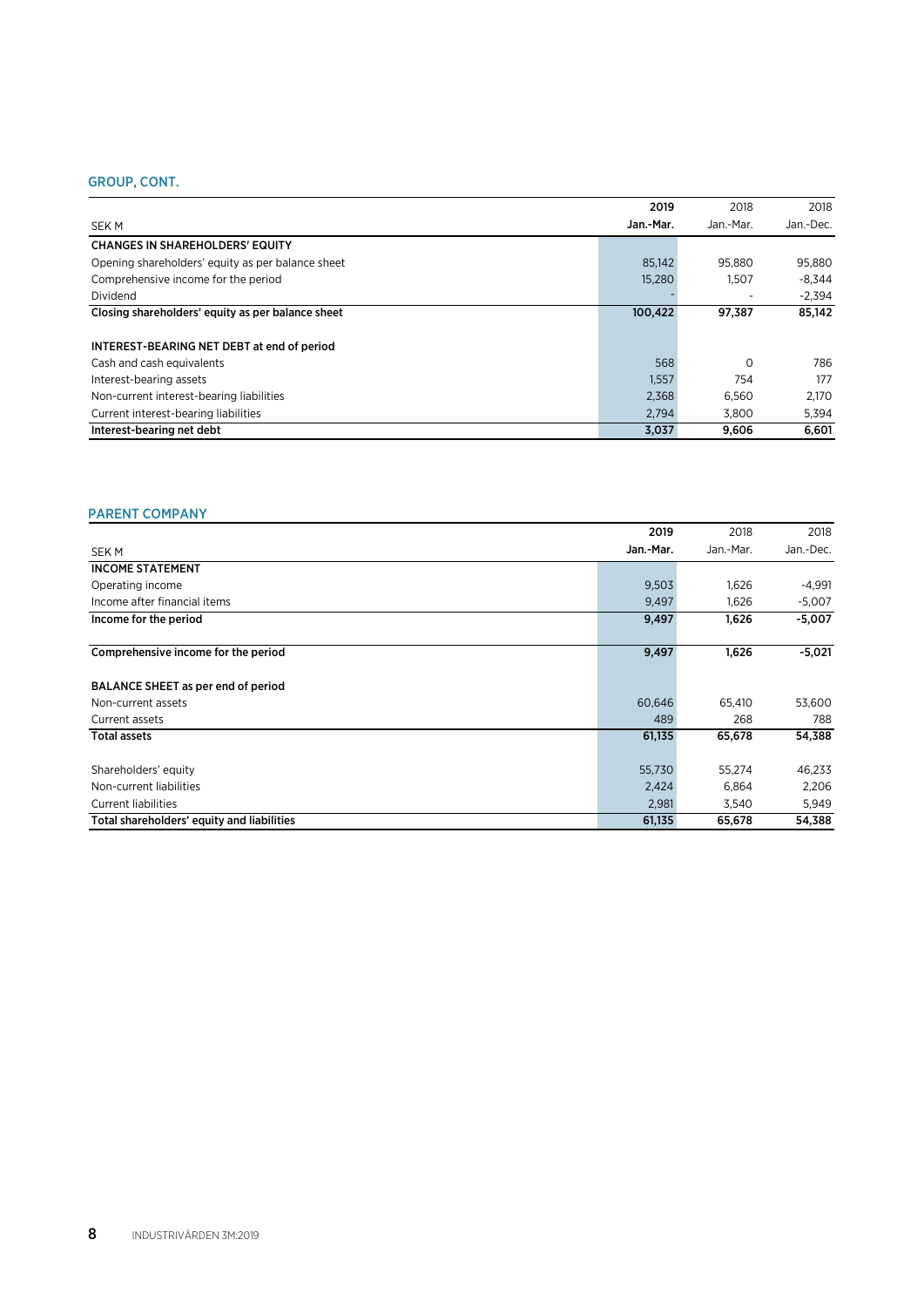### GROUP, CONT.

|                                                   | 2019      | 2018                     | 2018      |
|---------------------------------------------------|-----------|--------------------------|-----------|
| <b>SEKM</b>                                       | Jan.-Mar. | Jan -Mar.                | Jan.-Dec. |
| <b>CHANGES IN SHAREHOLDERS' EQUITY</b>            |           |                          |           |
| Opening shareholders' equity as per balance sheet | 85,142    | 95.880                   | 95,880    |
| Comprehensive income for the period               | 15,280    | 1.507                    | $-8.344$  |
| Dividend                                          |           | $\overline{\phantom{0}}$ | $-2.394$  |
| Closing shareholders' equity as per balance sheet | 100,422   | 97.387                   | 85.142    |
| <b>INTEREST-BEARING NET DEBT at end of period</b> |           |                          |           |
| Cash and cash equivalents                         | 568       | $\Omega$                 | 786       |
| Interest-bearing assets                           | 1,557     | 754                      | 177       |
| Non-current interest-bearing liabilities          | 2,368     | 6.560                    | 2.170     |
| Current interest-bearing liabilities              | 2.794     | 3.800                    | 5,394     |
| Interest-bearing net debt                         | 3,037     | 9,606                    | 6.601     |

### PARENT COMPANY

|                                            | 2019      | 2018      | 2018      |
|--------------------------------------------|-----------|-----------|-----------|
| <b>SEKM</b>                                | Jan.-Mar. | Jan.-Mar. | Jan.-Dec. |
| <b>INCOME STATEMENT</b>                    |           |           |           |
| Operating income                           | 9,503     | 1,626     | $-4,991$  |
| Income after financial items               | 9,497     | 1,626     | $-5,007$  |
| Income for the period                      | 9,497     | 1,626     | $-5,007$  |
| Comprehensive income for the period        | 9,497     | 1,626     | $-5,021$  |
| BALANCE SHEET as per end of period         |           |           |           |
| Non-current assets                         | 60,646    | 65,410    | 53,600    |
| Current assets                             | 489       | 268       | 788       |
| <b>Total assets</b>                        | 61,135    | 65,678    | 54,388    |
| Shareholders' equity                       | 55,730    | 55,274    | 46,233    |
| Non-current liabilities                    | 2,424     | 6,864     | 2,206     |
| <b>Current liabilities</b>                 | 2,981     | 3,540     | 5,949     |
| Total shareholders' equity and liabilities | 61,135    | 65,678    | 54,388    |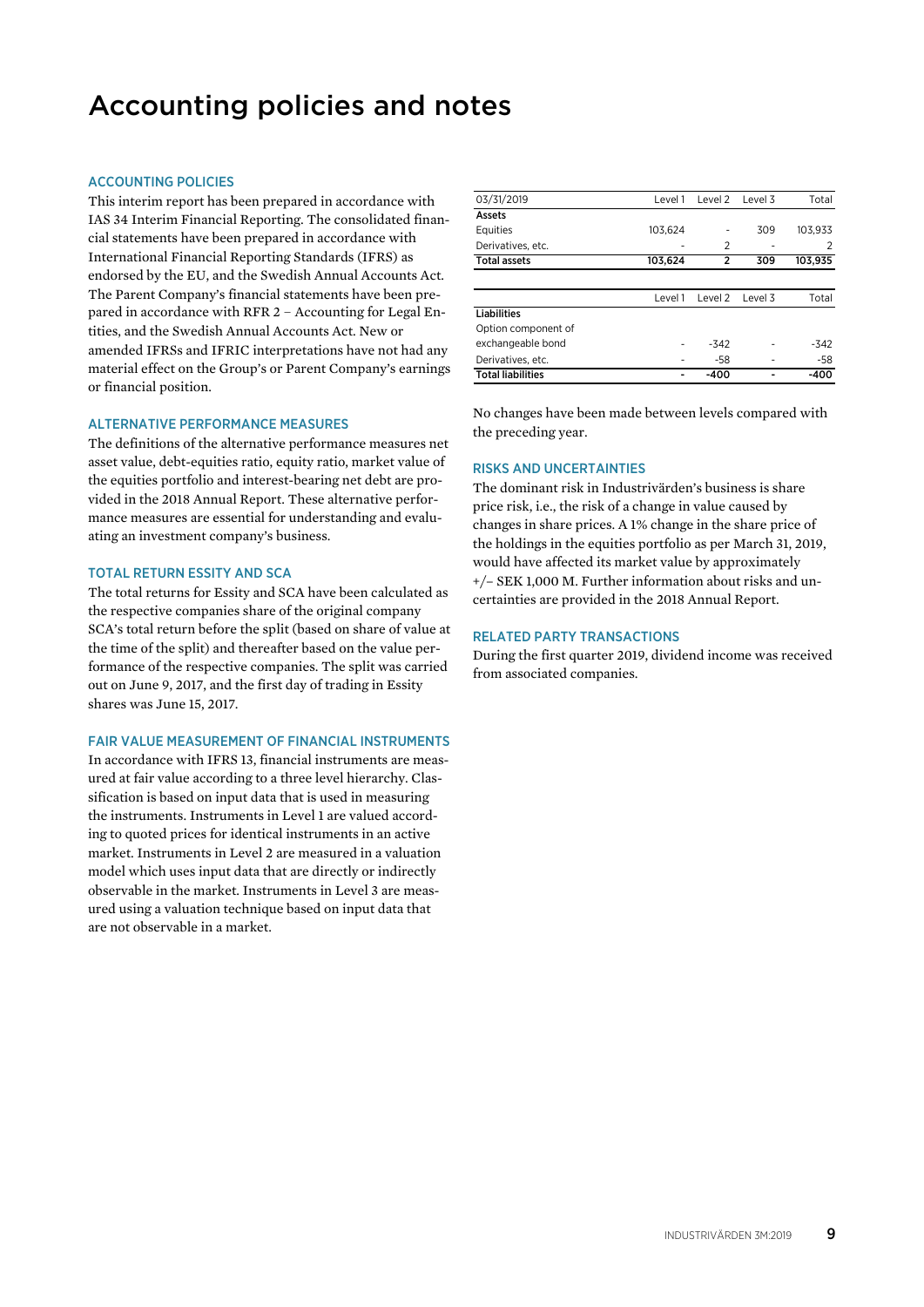# Accounting policies and notes

### ACCOUNTING POLICIES

This interim report has been prepared in accordance with IAS 34 Interim Financial Reporting. The consolidated financial statements have been prepared in accordance with International Financial Reporting Standards (IFRS) as endorsed by the EU, and the Swedish Annual Accounts Act. The Parent Company's financial statements have been prepared in accordance with RFR 2 – Accounting for Legal Entities, and the Swedish Annual Accounts Act. New or amended IFRSs and IFRIC interpretations have not had any material effect on the Group's or Parent Company's earnings or financial position.

### ALTERNATIVE PERFORMANCE MEASURES

The definitions of the alternative performance measures net asset value, debt-equities ratio, equity ratio, market value of the equities portfolio and interest-bearing net debt are provided in the 2018 Annual Report. These alternative performance measures are essential for understanding and evaluating an investment company's business.

### TOTAL RETURN ESSITY AND SCA

The total returns for Essity and SCA have been calculated as the respective companies share of the original company SCA's total return before the split (based on share of value at the time of the split) and thereafter based on the value performance of the respective companies. The split was carried out on June 9, 2017, and the first day of trading in Essity shares was June 15, 2017.

### FAIR VALUE MEASUREMENT OF FINANCIAL INSTRUMENTS

In accordance with IFRS 13, financial instruments are measured at fair value according to a three level hierarchy. Classification is based on input data that is used in measuring the instruments. Instruments in Level 1 are valued according to quoted prices for identical instruments in an active market. Instruments in Level 2 are measured in a valuation model which uses input data that are directly or indirectly observable in the market. Instruments in Level 3 are measured using a valuation technique based on input data that are not observable in a market.

| 03/31/2019               | Level 1 | Level 2        | Level 3 | Total   |
|--------------------------|---------|----------------|---------|---------|
| Assets                   |         |                |         |         |
| Equities                 | 103.624 | -              | 309     | 103.933 |
| Derivatives, etc.        |         | 2              |         | 2       |
| <b>Total assets</b>      | 103,624 | $\overline{2}$ | 309     | 103,935 |
|                          |         |                |         |         |
|                          | Level 1 | Level 2        | Level 3 | Total   |
| <b>Liabilities</b>       |         |                |         |         |
| Option component of      |         |                |         |         |
| exchangeable bond        |         | $-342$         |         | $-342$  |
| Derivatives, etc.        |         | -58            |         | -58     |
| <b>Total liabilities</b> |         | -400           |         | -400    |

No changes have been made between levels compared with the preceding year.

### RISKS AND UNCERTAINTIES

The dominant risk in Industrivärden's business is share price risk, i.e., the risk of a change in value caused by changes in share prices. A 1% change in the share price of the holdings in the equities portfolio as per March 31, 2019, would have affected its market value by approximately +/– SEK 1,000 M. Further information about risks and uncertainties are provided in the 2018 Annual Report.

### RELATED PARTY TRANSACTIONS

During the first quarter 2019, dividend income was received from associated companies.